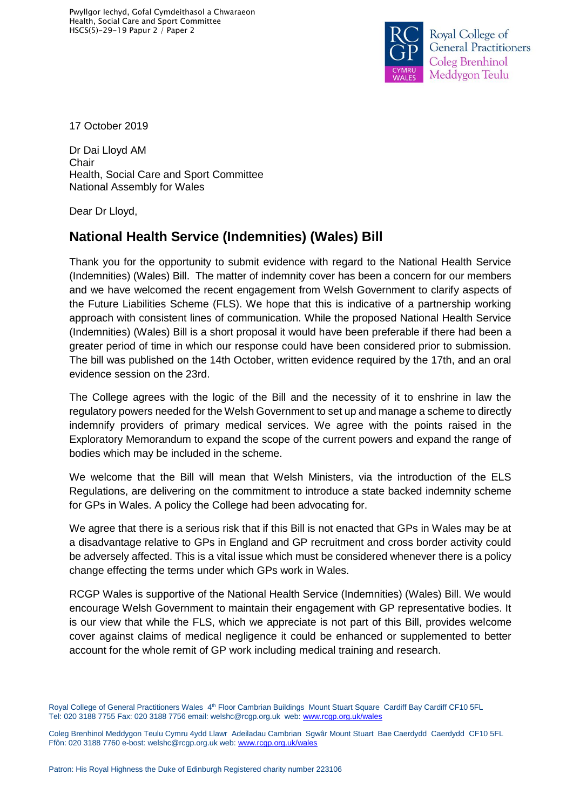

17 October 2019

Dr Dai Lloyd AM Chair Health, Social Care and Sport Committee National Assembly for Wales

Dear Dr Lloyd,

## **National Health Service (Indemnities) (Wales) Bill**

Thank you for the opportunity to submit evidence with regard to the National Health Service (Indemnities) (Wales) Bill. The matter of indemnity cover has been a concern for our members and we have welcomed the recent engagement from Welsh Government to clarify aspects of the Future Liabilities Scheme (FLS). We hope that this is indicative of a partnership working approach with consistent lines of communication. While the proposed National Health Service (Indemnities) (Wales) Bill is a short proposal it would have been preferable if there had been a greater period of time in which our response could have been considered prior to submission. The bill was published on the 14th October, written evidence required by the 17th, and an oral evidence session on the 23rd.

The College agrees with the logic of the Bill and the necessity of it to enshrine in law the regulatory powers needed for the Welsh Government to set up and manage a scheme to directly indemnify providers of primary medical services. We agree with the points raised in the Exploratory Memorandum to expand the scope of the current powers and expand the range of bodies which may be included in the scheme.

We welcome that the Bill will mean that Welsh Ministers, via the introduction of the ELS Regulations, are delivering on the commitment to introduce a state backed indemnity scheme for GPs in Wales. A policy the College had been advocating for.

We agree that there is a serious risk that if this Bill is not enacted that GPs in Wales may be at a disadvantage relative to GPs in England and GP recruitment and cross border activity could be adversely affected. This is a vital issue which must be considered whenever there is a policy change effecting the terms under which GPs work in Wales.

RCGP Wales is supportive of the National Health Service (Indemnities) (Wales) Bill. We would encourage Welsh Government to maintain their engagement with GP representative bodies. It is our view that while the FLS, which we appreciate is not part of this Bill, provides welcome cover against claims of medical negligence it could be enhanced or supplemented to better account for the whole remit of GP work including medical training and research.

Royal College of General Practitioners Wales 4<sup>th</sup> Floor Cambrian Buildings Mount Stuart Square Cardiff Bay Cardiff CF10 5FL Tel: 020 3188 7755 Fax: 020 3188 7756 email: welshc@rcgp.org.uk web: [www.rcgp.org.uk/wales](http://www.rcgp.org.uk/wales)

Coleg Brenhinol Meddygon Teulu Cymru 4ydd Llawr Adeiladau Cambrian Sgwâr Mount Stuart Bae Caerdydd Caerdydd CF10 5FL Ffôn: 020 3188 7760 e-bost: welshc@rcgp.org.uk web: www.rcgp.org.uk/wale